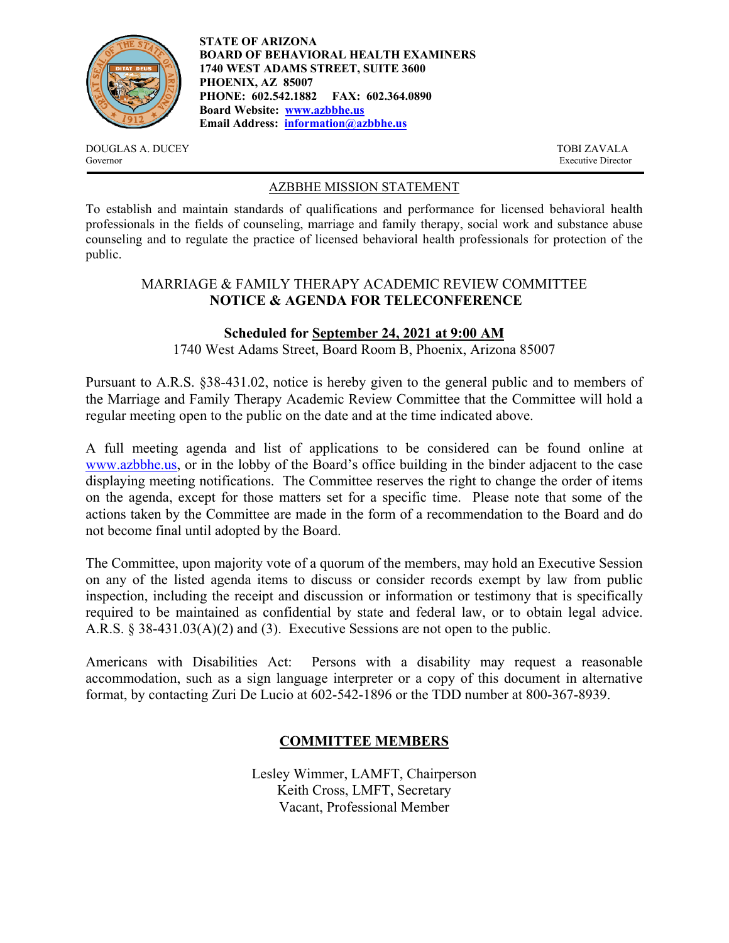

**STATE OF ARIZONA BOARD OF BEHAVIORAL HEALTH EXAMINERS 1740 WEST ADAMS STREET, SUITE 3600 PHOENIX, AZ 85007 PHONE: 602.542.1882 FAX: 602.364.0890 Board Website: www.azbbhe.us Email Address: information@azbbhe.us**

DOUGLAS A. DUCEY TOBI ZAVALA Governor Executive Director

#### AZBBHE MISSION STATEMENT

To establish and maintain standards of qualifications and performance for licensed behavioral health professionals in the fields of counseling, marriage and family therapy, social work and substance abuse counseling and to regulate the practice of licensed behavioral health professionals for protection of the public.

## MARRIAGE & FAMILY THERAPY ACADEMIC REVIEW COMMITTEE **NOTICE & AGENDA FOR TELECONFERENCE**

# **Scheduled for September 24, 2021 at 9:00 AM**

1740 West Adams Street, Board Room B, Phoenix, Arizona 85007

Pursuant to A.R.S. §38-431.02, notice is hereby given to the general public and to members of the Marriage and Family Therapy Academic Review Committee that the Committee will hold a regular meeting open to the public on the date and at the time indicated above.

A full meeting agenda and list of applications to be considered can be found online at www.azbbhe.us, or in the lobby of the Board's office building in the binder adjacent to the case displaying meeting notifications. The Committee reserves the right to change the order of items on the agenda, except for those matters set for a specific time. Please note that some of the actions taken by the Committee are made in the form of a recommendation to the Board and do not become final until adopted by the Board.

The Committee, upon majority vote of a quorum of the members, may hold an Executive Session on any of the listed agenda items to discuss or consider records exempt by law from public inspection, including the receipt and discussion or information or testimony that is specifically required to be maintained as confidential by state and federal law, or to obtain legal advice. A.R.S. § 38-431.03(A)(2) and (3). Executive Sessions are not open to the public.

Americans with Disabilities Act: Persons with a disability may request a reasonable accommodation, such as a sign language interpreter or a copy of this document in alternative format, by contacting Zuri De Lucio at 602-542-1896 or the TDD number at 800-367-8939.

# **COMMITTEE MEMBERS**

Lesley Wimmer, LAMFT, Chairperson Keith Cross, LMFT, Secretary Vacant, Professional Member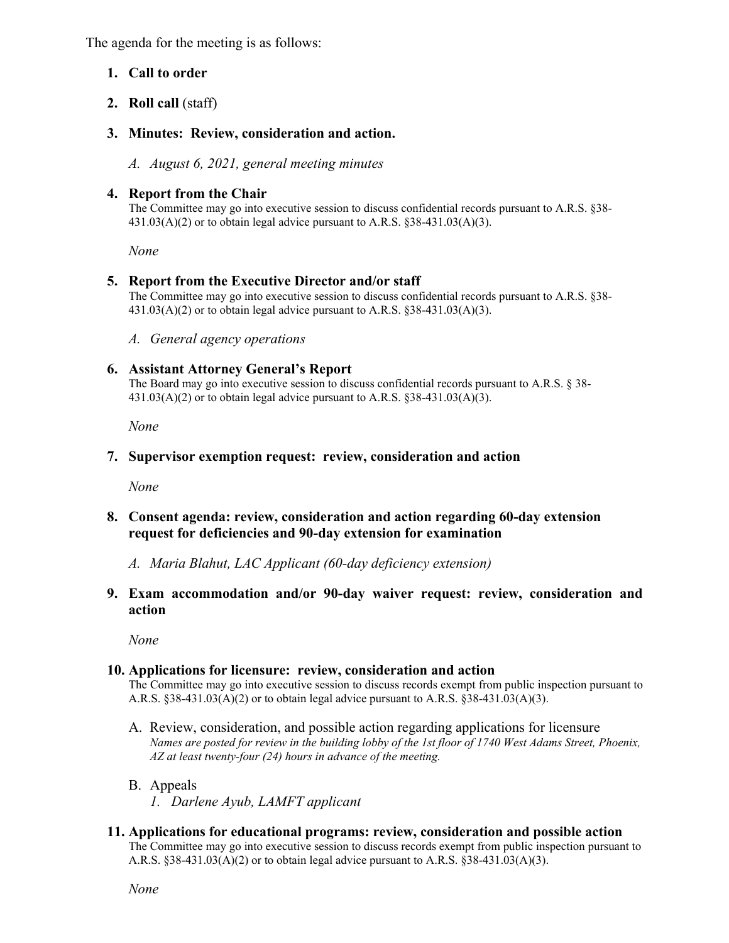The agenda for the meeting is as follows:

## **1. Call to order**

**2. Roll call** (staff)

# **3. Minutes: Review, consideration and action.**

*A. August 6, 2021, general meeting minutes* 

## **4. Report from the Chair**

The Committee may go into executive session to discuss confidential records pursuant to A.R.S. §38-  $431.03(A)(2)$  or to obtain legal advice pursuant to A.R.S. §38-431.03(A)(3).

 *None* 

#### **5. Report from the Executive Director and/or staff**

The Committee may go into executive session to discuss confidential records pursuant to A.R.S. §38-  $431.03(A)(2)$  or to obtain legal advice pursuant to A.R.S.  $838-431.03(A)(3)$ .

*A. General agency operations* 

#### **6. Assistant Attorney General's Report**

The Board may go into executive session to discuss confidential records pursuant to A.R.S. § 38-  $431.03(A)(2)$  or to obtain legal advice pursuant to A.R.S.  $§38-431.03(A)(3)$ .

 *None* 

#### **7. Supervisor exemption request: review, consideration and action**

*None* 

## **8. Consent agenda: review, consideration and action regarding 60-day extension request for deficiencies and 90-day extension for examination**

*A. Maria Blahut, LAC Applicant (60-day deficiency extension)* 

**9. Exam accommodation and/or 90-day waiver request: review, consideration and action** 

*None* 

#### **10. Applications for licensure: review, consideration and action**

The Committee may go into executive session to discuss records exempt from public inspection pursuant to A.R.S.  $§38-431.03(A)(2)$  or to obtain legal advice pursuant to A.R.S.  $§38-431.03(A)(3)$ .

- A. Review, consideration, and possible action regarding applications for licensure  *Names are posted for review in the building lobby of the 1st floor of 1740 West Adams Street, Phoenix, AZ at least twenty-four (24) hours in advance of the meeting.*
- B. Appeals
	- *1. Darlene Ayub, LAMFT applicant*

# **11. Applications for educational programs: review, consideration and possible action**

The Committee may go into executive session to discuss records exempt from public inspection pursuant to A.R.S.  $§38-431.03(A)(2)$  or to obtain legal advice pursuant to A.R.S.  $§38-431.03(A)(3)$ .

 *None*